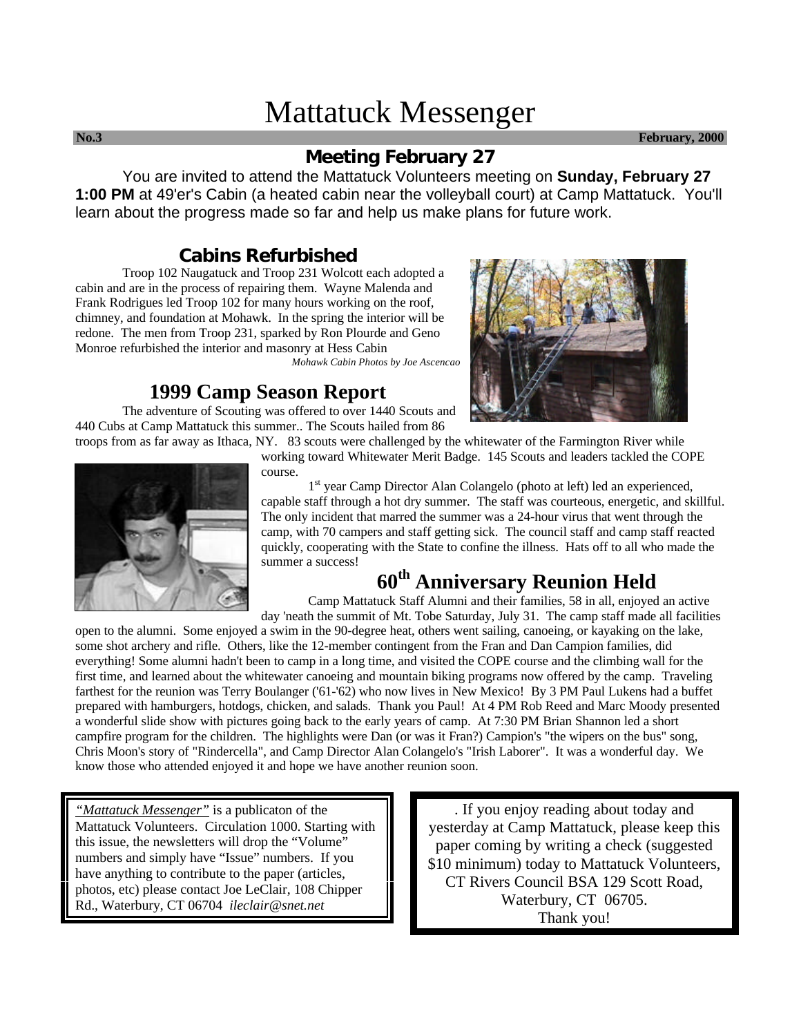# Mattatuck Messenger

**No.3 February, 2000**

# **Meeting February 27**

You are invited to attend the Mattatuck Volunteers meeting on **Sunday, February 27 1:00 PM** at 49'er's Cabin (a heated cabin near the volleyball court) at Camp Mattatuck. You'll learn about the progress made so far and help us make plans for future work.

## **Cabins Refurbished**

Troop 102 Naugatuck and Troop 231 Wolcott each adopted a cabin and are in the process of repairing them. Wayne Malenda and Frank Rodrigues led Troop 102 for many hours working on the roof, chimney, and foundation at Mohawk. In the spring the interior will be redone. The men from Troop 231, sparked by Ron Plourde and Geno Monroe refurbished the interior and masonry at Hess Cabin

*Mohawk Cabin Photos by Joe Ascencao*

# **1999 Camp Season Report**

The adventure of Scouting was offered to over 1440 Scouts and 440 Cubs at Camp Mattatuck this summer.. The Scouts hailed from 86

troops from as far away as Ithaca, NY. 83 scouts were challenged by the whitewater of the Farmington River while working toward Whitewater Merit Badge. 145 Scouts and leaders tackled the COPE



1<sup>st</sup> year Camp Director Alan Colangelo (photo at left) led an experienced, capable staff through a hot dry summer. The staff was courteous, energetic, and skillful. The only incident that marred the summer was a 24-hour virus that went through the camp, with 70 campers and staff getting sick. The council staff and camp staff reacted quickly, cooperating with the State to confine the illness. Hats off to all who made the summer a success!

# **60th Anniversary Reunion Held**

Camp Mattatuck Staff Alumni and their families, 58 in all, enjoyed an active day 'neath the summit of Mt. Tobe Saturday, July 31. The camp staff made all facilities

open to the alumni. Some enjoyed a swim in the 90-degree heat, others went sailing, canoeing, or kayaking on the lake, some shot archery and rifle. Others, like the 12-member contingent from the Fran and Dan Campion families, did everything! Some alumni hadn't been to camp in a long time, and visited the COPE course and the climbing wall for the first time, and learned about the whitewater canoeing and mountain biking programs now offered by the camp. Traveling farthest for the reunion was Terry Boulanger ('61-'62) who now lives in New Mexico! By 3 PM Paul Lukens had a buffet prepared with hamburgers, hotdogs, chicken, and salads. Thank you Paul! At 4 PM Rob Reed and Marc Moody presented a wonderful slide show with pictures going back to the early years of camp. At 7:30 PM Brian Shannon led a short campfire program for the children. The highlights were Dan (or was it Fran?) Campion's "the wipers on the bus" song, Chris Moon's story of "Rindercella", and Camp Director Alan Colangelo's "Irish Laborer". It was a wonderful day. We know those who attended enjoyed it and hope we have another reunion soon.

*"Mattatuck Messenger"* is a publicaton of the Mattatuck Volunteers. Circulation 1000. Starting with this issue, the newsletters will drop the "Volume" numbers and simply have "Issue" numbers. If you have anything to contribute to the paper (articles, photos, etc) please contact Joe LeClair, 108 Chipper Rd., Waterbury, CT 06704 *ileclair@snet.net*

. If you enjoy reading about today and yesterday at Camp Mattatuck, please keep this paper coming by writing a check (suggested \$10 minimum) today to Mattatuck Volunteers, CT Rivers Council BSA 129 Scott Road, Waterbury, CT 06705. Thank you!

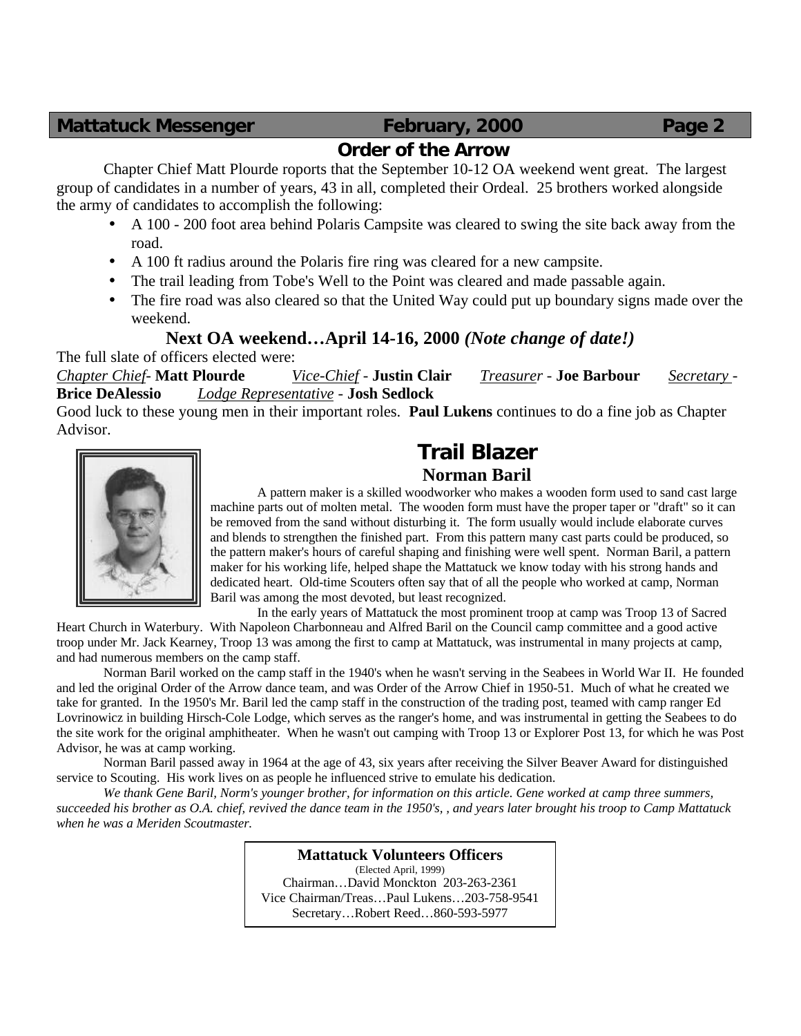# **Order of the Arrow**

Chapter Chief Matt Plourde roports that the September 10-12 OA weekend went great. The largest group of candidates in a number of years, 43 in all, completed their Ordeal. 25 brothers worked alongside the army of candidates to accomplish the following:

- A 100 200 foot area behind Polaris Campsite was cleared to swing the site back away from the road.
- A 100 ft radius around the Polaris fire ring was cleared for a new campsite.
- The trail leading from Tobe's Well to the Point was cleared and made passable again.
- The fire road was also cleared so that the United Way could put up boundary signs made over the weekend.

# **Next OA weekend…April 14-16, 2000** *(Note change of date!)*

The full slate of officers elected were:

*Chapter Chief*- **Matt Plourde** *Vice-Chief* - **Justin Clair** *Treasurer* - **Joe Barbour** *Secretary* - **Brice DeAlessio** *Lodge Representative* - **Josh Sedlock**

Good luck to these young men in their important roles. **Paul Lukens** continues to do a fine job as Chapter Advisor.



# **Trail Blazer Norman Baril**

A pattern maker is a skilled woodworker who makes a wooden form used to sand cast large machine parts out of molten metal. The wooden form must have the proper taper or "draft" so it can be removed from the sand without disturbing it. The form usually would include elaborate curves and blends to strengthen the finished part. From this pattern many cast parts could be produced, so the pattern maker's hours of careful shaping and finishing were well spent. Norman Baril, a pattern maker for his working life, helped shape the Mattatuck we know today with his strong hands and dedicated heart. Old-time Scouters often say that of all the people who worked at camp, Norman Baril was among the most devoted, but least recognized.

In the early years of Mattatuck the most prominent troop at camp was Troop 13 of Sacred

Heart Church in Waterbury. With Napoleon Charbonneau and Alfred Baril on the Council camp committee and a good active troop under Mr. Jack Kearney, Troop 13 was among the first to camp at Mattatuck, was instrumental in many projects at camp, and had numerous members on the camp staff.

Norman Baril worked on the camp staff in the 1940's when he wasn't serving in the Seabees in World War II. He founded and led the original Order of the Arrow dance team, and was Order of the Arrow Chief in 1950-51. Much of what he created we take for granted. In the 1950's Mr. Baril led the camp staff in the construction of the trading post, teamed with camp ranger Ed Lovrinowicz in building Hirsch-Cole Lodge, which serves as the ranger's home, and was instrumental in getting the Seabees to do the site work for the original amphitheater. When he wasn't out camping with Troop 13 or Explorer Post 13, for which he was Post Advisor, he was at camp working.

Norman Baril passed away in 1964 at the age of 43, six years after receiving the Silver Beaver Award for distinguished service to Scouting. His work lives on as people he influenced strive to emulate his dedication.

*We thank Gene Baril, Norm's younger brother, for information on this article. Gene worked at camp three summers, succeeded his brother as O.A. chief, revived the dance team in the 1950's, , and years later brought his troop to Camp Mattatuck when he was a Meriden Scoutmaster.*

> **Mattatuck Volunteers Officers** (Elected April, 1999) Chairman…David Monckton 203-263-2361 Vice Chairman/Treas…Paul Lukens…203-758-9541 Secretary…Robert Reed…860-593-5977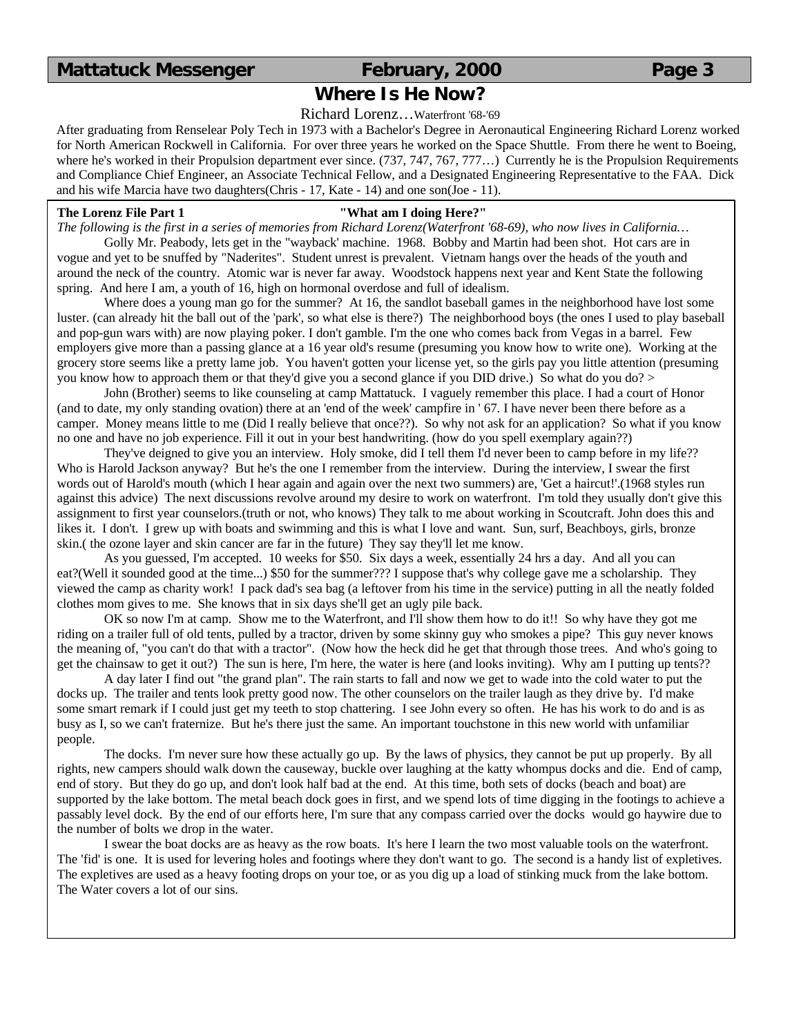## **Where Is He Now?**

Richard Lorenz…Waterfront '68-'69

After graduating from Renselear Poly Tech in 1973 with a Bachelor's Degree in Aeronautical Engineering Richard Lorenz worked for North American Rockwell in California. For over three years he worked on the Space Shuttle. From there he went to Boeing, where he's worked in their Propulsion department ever since. (737, 747, 767, 777...) Currently he is the Propulsion Requirements and Compliance Chief Engineer, an Associate Technical Fellow, and a Designated Engineering Representative to the FAA. Dick and his wife Marcia have two daughters(Chris - 17, Kate - 14) and one son(Joe - 11).

### **The Lorenz File Part 1 "What am I doing Here?"**

*The following is the first in a series of memories from Richard Lorenz(Waterfront '68-69), who now lives in California…*

Golly Mr. Peabody, lets get in the "wayback' machine. 1968. Bobby and Martin had been shot. Hot cars are in vogue and yet to be snuffed by "Naderites". Student unrest is prevalent. Vietnam hangs over the heads of the youth and around the neck of the country. Atomic war is never far away. Woodstock happens next year and Kent State the following spring. And here I am, a youth of 16, high on hormonal overdose and full of idealism.

Where does a young man go for the summer? At 16, the sandlot baseball games in the neighborhood have lost some luster. (can already hit the ball out of the 'park', so what else is there?) The neighborhood boys (the ones I used to play baseball and pop-gun wars with) are now playing poker. I don't gamble. I'm the one who comes back from Vegas in a barrel. Few employers give more than a passing glance at a 16 year old's resume (presuming you know how to write one). Working at the grocery store seems like a pretty lame job. You haven't gotten your license yet, so the girls pay you little attention (presuming you know how to approach them or that they'd give you a second glance if you DID drive.) So what do you do? >

John (Brother) seems to like counseling at camp Mattatuck. I vaguely remember this place. I had a court of Honor (and to date, my only standing ovation) there at an 'end of the week' campfire in ' 67. I have never been there before as a camper. Money means little to me (Did I really believe that once??). So why not ask for an application? So what if you know no one and have no job experience. Fill it out in your best handwriting. (how do you spell exemplary again??)

They've deigned to give you an interview. Holy smoke, did I tell them I'd never been to camp before in my life?? Who is Harold Jackson anyway? But he's the one I remember from the interview. During the interview, I swear the first words out of Harold's mouth (which I hear again and again over the next two summers) are, 'Get a haircut!'.(1968 styles run against this advice) The next discussions revolve around my desire to work on waterfront. I'm told they usually don't give this assignment to first year counselors.(truth or not, who knows) They talk to me about working in Scoutcraft. John does this and likes it. I don't. I grew up with boats and swimming and this is what I love and want. Sun, surf, Beachboys, girls, bronze skin.( the ozone layer and skin cancer are far in the future) They say they'll let me know.

As you guessed, I'm accepted. 10 weeks for \$50. Six days a week, essentially 24 hrs a day. And all you can eat?(Well it sounded good at the time...) \$50 for the summer??? I suppose that's why college gave me a scholarship. They viewed the camp as charity work! I pack dad's sea bag (a leftover from his time in the service) putting in all the neatly folded clothes mom gives to me. She knows that in six days she'll get an ugly pile back.

OK so now I'm at camp. Show me to the Waterfront, and I'll show them how to do it!! So why have they got me riding on a trailer full of old tents, pulled by a tractor, driven by some skinny guy who smokes a pipe? This guy never knows the meaning of, "you can't do that with a tractor". (Now how the heck did he get that through those trees. And who's going to get the chainsaw to get it out?) The sun is here, I'm here, the water is here (and looks inviting). Why am I putting up tents??

A day later I find out "the grand plan". The rain starts to fall and now we get to wade into the cold water to put the docks up. The trailer and tents look pretty good now. The other counselors on the trailer laugh as they drive by. I'd make some smart remark if I could just get my teeth to stop chattering. I see John every so often. He has his work to do and is as busy as I, so we can't fraternize. But he's there just the same. An important touchstone in this new world with unfamiliar people.

The docks. I'm never sure how these actually go up. By the laws of physics, they cannot be put up properly. By all rights, new campers should walk down the causeway, buckle over laughing at the katty whompus docks and die. End of camp, end of story. But they do go up, and don't look half bad at the end. At this time, both sets of docks (beach and boat) are supported by the lake bottom. The metal beach dock goes in first, and we spend lots of time digging in the footings to achieve a passably level dock. By the end of our efforts here, I'm sure that any compass carried over the docks would go haywire due to the number of bolts we drop in the water.

I swear the boat docks are as heavy as the row boats. It's here I learn the two most valuable tools on the waterfront. The 'fid' is one. It is used for levering holes and footings where they don't want to go. The second is a handy list of expletives. The expletives are used as a heavy footing drops on your toe, or as you dig up a load of stinking muck from the lake bottom. The Water covers a lot of our sins.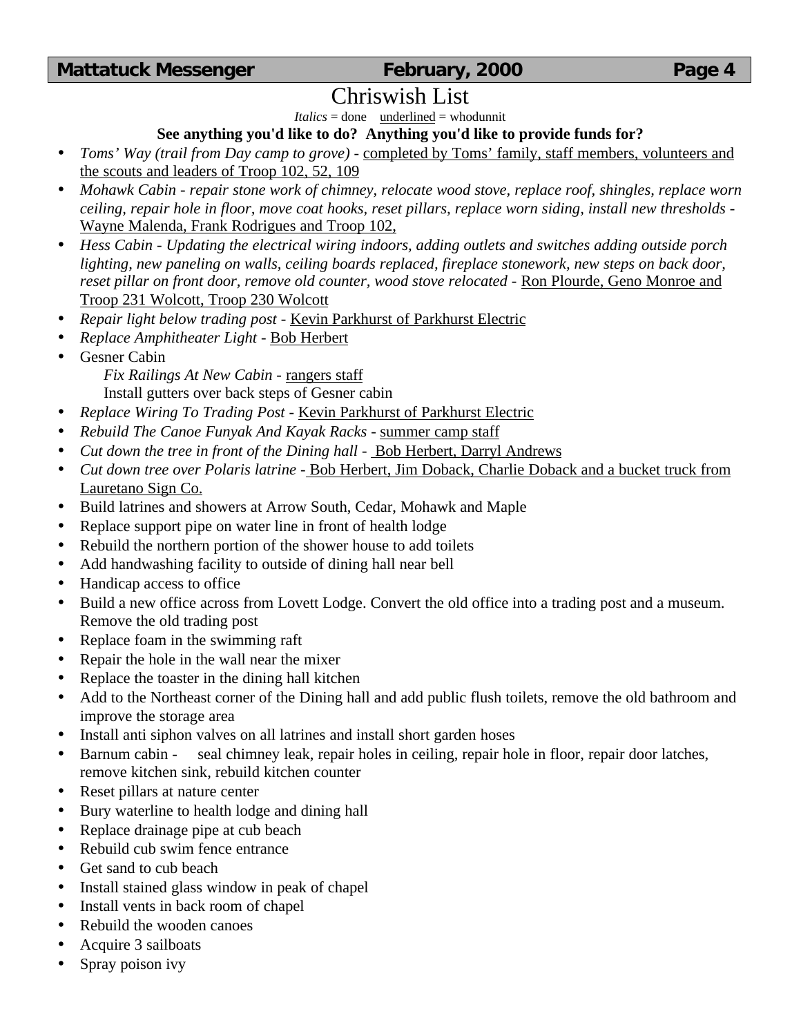# Chriswish List

*Italics* = done underlined = whodunnit

# **See anything you'd like to do? Anything you'd like to provide funds for?**

- *Toms' Way (trail from Day camp to grove)* completed by Toms' family, staff members, volunteers and the scouts and leaders of Troop 102, 52, 109
- *Mohawk Cabin repair stone work of chimney, relocate wood stove, replace roof, shingles, replace worn ceiling, repair hole in floor, move coat hooks, reset pillars, replace worn siding, install new thresholds* - Wayne Malenda, Frank Rodrigues and Troop 102,
- *Hess Cabin Updating the electrical wiring indoors, adding outlets and switches adding outside porch lighting, new paneling on walls, ceiling boards replaced, fireplace stonework, new steps on back door, reset pillar on front door, remove old counter, wood stove relocated* - Ron Plourde, Geno Monroe and Troop 231 Wolcott, Troop 230 Wolcott
- *Repair light below trading post* Kevin Parkhurst of Parkhurst Electric
- *Replace Amphitheater Light* Bob Herbert
- Gesner Cabin

*Fix Railings At New Cabin* - rangers staff

Install gutters over back steps of Gesner cabin

- *Replace Wiring To Trading Post* Kevin Parkhurst of Parkhurst Electric
- *Rebuild The Canoe Funyak And Kayak Racks* summer camp staff
- *Cut down the tree in front of the Dining hall* Bob Herbert, Darryl Andrews
- *Cut down tree over Polaris latrine* Bob Herbert, Jim Doback, Charlie Doback and a bucket truck from Lauretano Sign Co.
- Build latrines and showers at Arrow South, Cedar, Mohawk and Maple
- Replace support pipe on water line in front of health lodge
- Rebuild the northern portion of the shower house to add toilets
- Add handwashing facility to outside of dining hall near bell
- Handicap access to office
- Build a new office across from Lovett Lodge. Convert the old office into a trading post and a museum. Remove the old trading post
- Replace foam in the swimming raft
- Repair the hole in the wall near the mixer
- Replace the toaster in the dining hall kitchen
- Add to the Northeast corner of the Dining hall and add public flush toilets, remove the old bathroom and improve the storage area
- Install anti siphon valves on all latrines and install short garden hoses
- Barnum cabin seal chimney leak, repair holes in ceiling, repair hole in floor, repair door latches, remove kitchen sink, rebuild kitchen counter
- Reset pillars at nature center
- Bury waterline to health lodge and dining hall
- Replace drainage pipe at cub beach
- Rebuild cub swim fence entrance
- Get sand to cub beach
- Install stained glass window in peak of chapel
- Install vents in back room of chapel
- Rebuild the wooden canoes
- Acquire 3 sailboats
- Spray poison ivy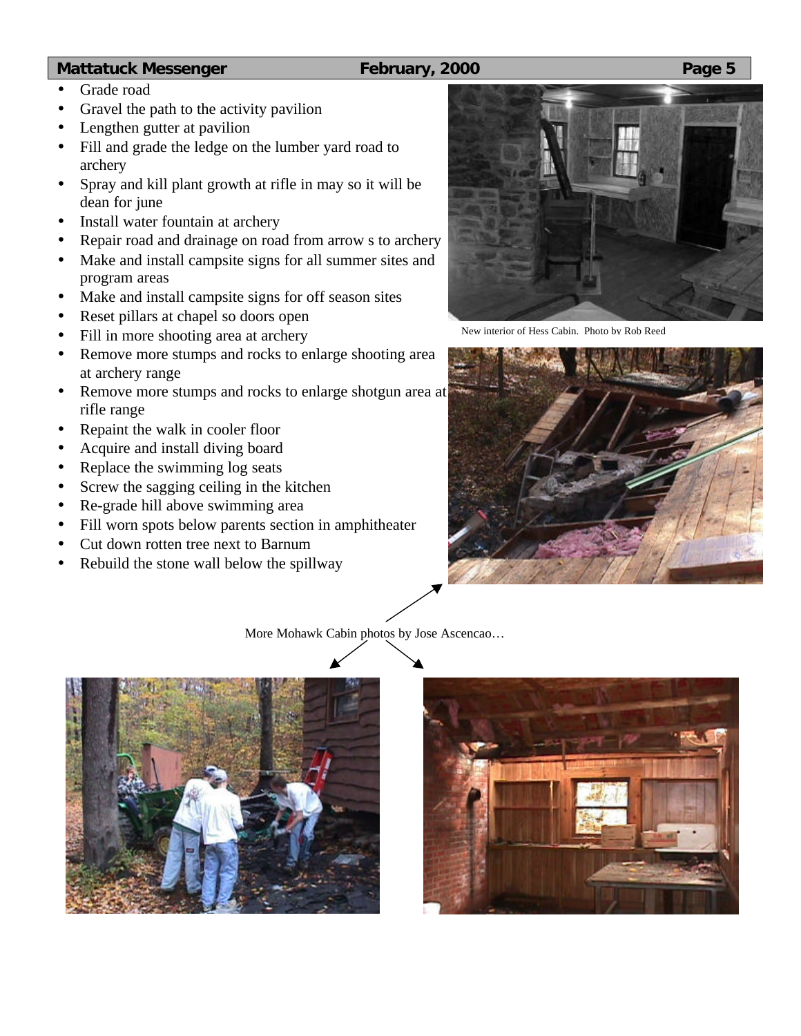- Grade road
- Gravel the path to the activity pavilion
- Lengthen gutter at pavilion
- Fill and grade the ledge on the lumber yard road to archery
- Spray and kill plant growth at rifle in may so it will be dean for june
- Install water fountain at archery
- Repair road and drainage on road from arrow s to archery
- Make and install campsite signs for all summer sites and program areas
- Make and install campsite signs for off season sites
- Reset pillars at chapel so doors open
- Fill in more shooting area at archery
- Remove more stumps and rocks to enlarge shooting area at archery range
- Remove more stumps and rocks to enlarge shotgun area at rifle range
- Repaint the walk in cooler floor
- Acquire and install diving board
- Replace the swimming log seats
- Screw the sagging ceiling in the kitchen
- Re-grade hill above swimming area
- Fill worn spots below parents section in amphitheater
- Cut down rotten tree next to Barnum
- Rebuild the stone wall below the spillway



New interior of Hess Cabin. Photo by Rob Reed



More Mohawk Cabin photos by Jose Ascencao…